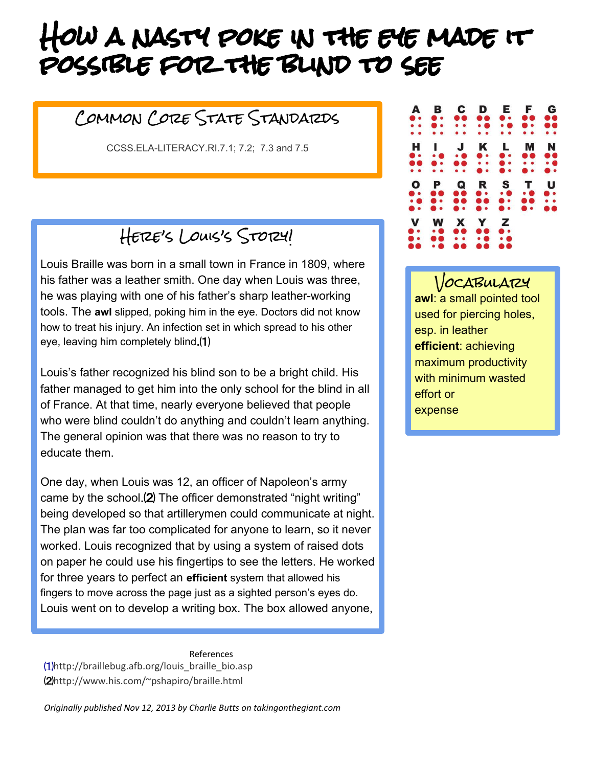## How a nasty poke in the eye made it possible for the blind to see

## Common Core State Standards

[CCSS.ELA-LITERACY.RI.7.1; 7.2; 7.3 and 7.5](http://www.corestandards.org/ELA-Literacy/RI/7/1/)

Here's Louis's Story!

Louis Braille was born in a small town in France in 1809, where his father was a leather smith. One day when Louis was three, he was playing with one of his father's sharp leather-working tools. The **awl** slipped, poking him in the eye. Doctors did not know how to treat his injury. An infection set in which spread to his other eye, leaving him completely blind.⑴

Louis's father recognized his blind son to be a bright child. His father managed to get him into the only school for the blind in all of France. At that time, nearly everyone believed that people who were blind couldn't do anything and couldn't learn anything. The general opinion was that there was no reason to try to educate them.

One day, when Louis was 12, an officer of Napoleon's army came by the school.⑵ The officer demonstrated "night writing" being developed so that artillerymen could communicate at night. The plan was far too complicated for anyone to learn, so it never worked. Louis recognized that by using a system of raised dots on paper he could use his fingertips to see the letters. He worked for three years to perfect an **efficient** system that allowed his fingers to move across the page just as a sighted person's eyes do. Louis went on to develop a writing box. The box allowed anyone,

References [⑴](http://www.howstuffworks.com/do-something-brick-awards-winner-hannah-taylor.htm)[http://braillebug.afb.org/louis\\_braille\\_bio.asp](http://www.howstuffworks.com/do-something-brick-awards-winner-hannah-taylor.htm) ⑵http://www.his.com/~pshapiro/braille.html

*Originally published Nov 12, 2013 by Charlie Butts on takingonthegiant.com*

| A<br>$\bullet\bullet$<br>$\bullet$<br>$\bullet$ $\bullet$ | в<br>$\bullet$ .<br>$\bullet\bullet$<br>$\bullet$            | C<br>$\bullet$<br>$\bullet$<br>$\bullet\quad\bullet$ | D<br><br>$\bullet$<br>$\bullet$                                                  | Е.<br>. .<br>$\bullet$<br>$\bullet\bullet$        | F<br><b></b><br>$\bullet$ .<br>$\bullet$                        | G<br><b></b><br><b>00</b><br>$\bullet$ |
|-----------------------------------------------------------|--------------------------------------------------------------|------------------------------------------------------|----------------------------------------------------------------------------------|---------------------------------------------------|-----------------------------------------------------------------|----------------------------------------|
| н<br>$\bullet$ .<br>$\bullet$<br>$\bullet\quad \bullet$   | I<br>$\bullet$<br>$\bullet\bullet$<br>$\bullet\quad \bullet$ | $\mathbf{J}$<br>$\bullet$ $\bullet$<br><br>• •       | K<br>$\bullet\bullet$<br>$\bullet\hspace{1mm}\bullet\hspace{1mm}$<br>$\bullet$ . | $\mathbf{L}$<br>$\bullet\,\bullet$<br>$\bullet$ . | M<br>$\bullet$<br>$\bullet\bullet\bullet\bullet$<br>$\bullet$ . | N<br><b></b><br>$\bullet$<br>. .       |
| O<br>$\bullet\,\bullet$<br>$\bullet$<br>$\bullet$         | P<br><b></b><br>$\bullet$ .                                  | Q<br><b></b><br><br>$\bullet\bullet\bullet\bullet$   | R<br>$\bullet\,\cdot$<br>$\bullet$<br>$\bullet\,\bullet$                         | S<br>$\bullet$<br>$\bullet$ .<br>$\bullet$ .      | T<br>$\bullet$<br>$\bullet$<br>$\bullet\bullet$                 | U<br>. .<br>$\bullet$<br>66            |
| V<br>$\bullet$ .<br>$\bullet$ .<br>66                     | W<br>$\bullet$<br><br>$\bullet$                              | X<br><b></b><br>$\bullet$<br>66 Q                    | Y<br>60<br>$\bullet$<br>66                                                       | Z<br>$\bullet\,\bullet$<br>$\bullet$              |                                                                 |                                        |

VOCABULATZY **awl**: a small pointed tool used for piercing holes, esp. in leather **efficient**: achieving maximum productivity with minimum wasted effort or expense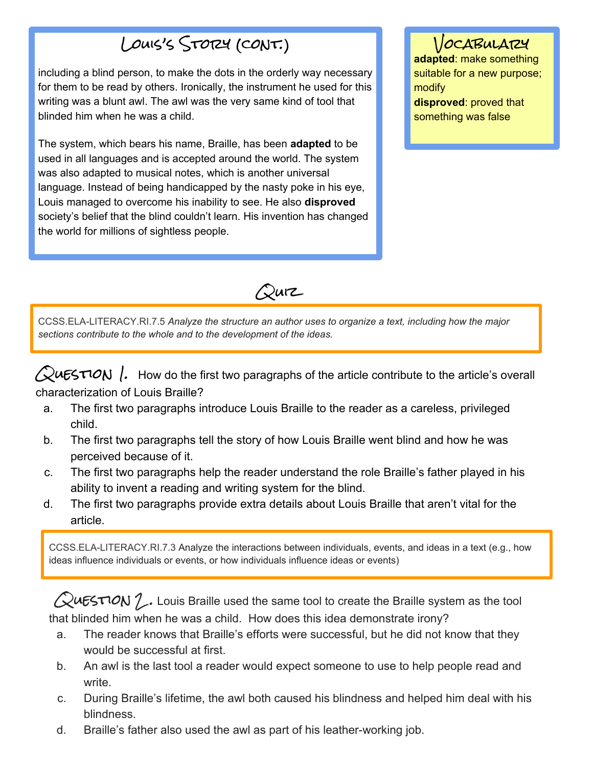## Louis's Story (cont.)

including a blind person, to make the dots in the orderly way necessary for them to be read by others. Ironically, the instrument he used for this writing was a blunt awl. The awl was the very same kind of tool that blinded him when he was a child.

The system, which bears his name, Braille, has been **adapted** to be used in all languages and is accepted around the world. The system was also adapted to musical notes, which is another universal language. Instead of being handicapped by the nasty poke in his eye, Louis managed to overcome his inability to see. He also **disproved** society's belief that the blind couldn't learn. His invention has changed the world for millions of sightless people.

VOCABULARY **adapted**: make something suitable for a new purpose; modify **disproved**: proved that something was false



[CCSS.ELA-](http://www.corestandards.org/ELA-Literacy/RI/7/2/)[LITERACY.RI.7.5](http://www.corestandards.org/ELA-Literacy/RI/7/5/) *Analyze the structure an author uses to organize a text, including how the major sections contribute to the whole and to the development of the ideas.*

 $\sqrt{2}$ uESTION . How do the first two paragraphs of the article contribute to the article's overall characterization of Louis Braille?

- a. The first two paragraphs introduce Louis Braille to the reader as a careless, privileged child.
- b. The first two paragraphs tell the story of how Louis Braille went blind and how he was perceived because of it.
- c. The first two paragraphs help the reader understand the role Braille's father played in his ability to invent a reading and writing system for the blind.
- d. The first two paragraphs provide extra details about Louis Braille that aren't vital for the article.

[CCSS.ELA-](http://www.corestandards.org/ELA-Literacy/RI/7/2/)[LITERACY.RI.7.3](http://www.corestandards.org/ELA-Literacy/RI/7/3/) Analyze the interactions between individuals, events, and ideas in a text (e.g., how ideas influence individuals or events, or how individuals influence ideas or events)

 $\mathcal Q$ uESTION  $\mathcal I$ . Louis Braille used the same tool to create the Braille system as the tool that blinded him when he was a child. How does this idea demonstrate irony?

- a. The reader knows that Braille's efforts were successful, but he did not know that they would be successful at first.
- b. An awl is the last tool a reader would expect someone to use to help people read and write.
- c. During Braille's lifetime, the awl both caused his blindness and helped him deal with his blindness.
- d. Braille's father also used the awl as part of his leather-working job.